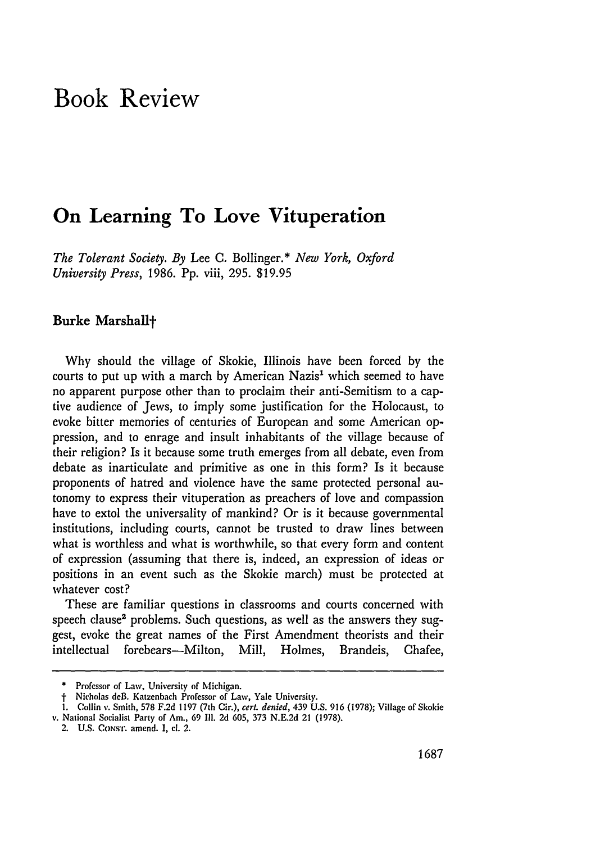# **Book Review**

## **On Learning To Love Vituperation**

*The Tolerant Society. By* Lee C. Bollinger.\* *New York, Oxford University Press,* 1986. Pp. viii, 295. \$19.95

#### Burke Marshall+

**Why** should the village of Skokie, Illinois have been forced **by** the courts to put up with a march **by** American Nazis' which seemed to have no apparent purpose other than to proclaim their anti-Semitism to a captive audience of Jews, to imply some justification for the Holocaust, to evoke bitter memories of centuries of European and some American oppression, and to enrage and insult inhabitants of the village because of their religion? Is it because some truth emerges from all debate, even from debate as inarticulate and primitive as one in this form? Is it because proponents of hatred and violence have the same protected personal autonomy to express their vituperation as preachers of love and compassion have to extol the universality of mankind? Or is it because governmental institutions, including courts, cannot be trusted to draw lines between what is worthless and what is worthwhile, so that every form and content of expression (assuming that there is, indeed, an expression of ideas or positions in an event such as the Skokie march) must be protected at whatever cost?

These are familiar questions in classrooms and courts concerned with speech clause<sup>2</sup> problems. Such questions, as well as the answers they suggest, evoke the great names of the First Amendment theorists and their intellectual forebears—Milton, Mill, Holmes, Brandeis, Chafee,

<sup>•</sup> Professor of Law, University of Michigan.

**SNicholas** deB. Katzenbach Professor of Law, Yale University.

**<sup>1.</sup>** Collin v. Smith, **578 F.2d 1197** (7th Cir.), *cert. denied,* 439 **U.S. 916 (1978);** Village of Skokie v. National Socialist Party of Am., **69 Il. 2d 605, 373 N.E.2d** 21 **(1978).**

<sup>2.</sup> **U.S. CONST. amend. I, cl. 2.**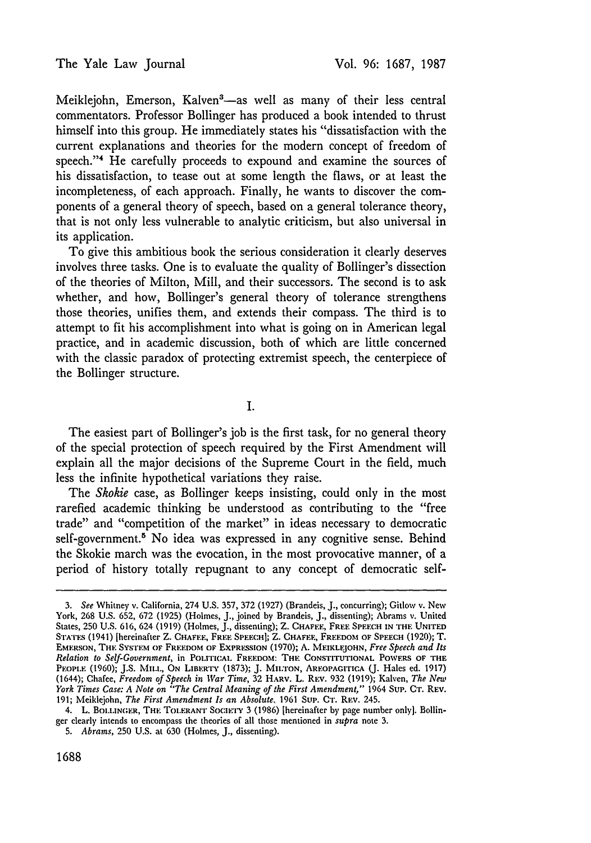Meiklejohn, Emerson, Kalven<sup>3</sup>-as well as many of their less central commentators. Professor Bollinger has produced a book intended to thrust himself into this group. He immediately states his "dissatisfaction with the current explanations and theories for the modern concept of freedom of speech."4 He carefully proceeds to expound and examine the sources of his dissatisfaction, to tease out at some length the flaws, or at least the incompleteness, of each approach. Finally, he wants to discover the components of a general theory of speech, based on a general tolerance theory, that is not only less vulnerable to analytic criticism, but also universal in its application.

To give this ambitious book the serious consideration it clearly deserves involves three tasks. One is to evaluate the quality of Bollinger's dissection of the theories of Milton, Mill, and their successors. The second is to ask whether, and how, Bollinger's general theory of tolerance strengthens those theories, unifies them, and extends their compass. The third is to attempt to fit his accomplishment into what is going on in American legal practice, and in academic discussion, both of which are little concerned with the classic paradox of protecting extremist speech, the centerpiece of the Bollinger structure.

I.

The easiest part of Bollinger's job is the first task, for no general theory of the special protection of speech required by the First Amendment will explain all the major decisions of the Supreme Court in the field, much less the infinite hypothetical variations they raise.

The *Skokie* case, as Bollinger keeps insisting, could only in the most rarefied academic thinking be understood as contributing to the "free trade" and "competition of the market" in ideas necessary to democratic self-government.<sup>8</sup> No idea was expressed in any cognitive sense. Behind the Skokie march was the evocation, in the most provocative manner, of a period of history totally repugnant to any concept of democratic self-

*<sup>3.</sup>* See Whitney v. California, 274 U.S. 357, 372 (1927) (Brandeis, J., concurring); Gitlow v. New York, 268 U.S. 652, 672 (1925) (Holmes, J., joined by Brandeis, J., dissenting); Abrams v. United States, 250 **U.S.** 616, 624 (1919) (Holmes, J., dissenting); Z. **CHAFEE, FREE** SPEECH **IN THE UNITED S'ATUS** (1941) [hereinafter Z. **CHAFFE, FREE** SPEECH]; Z. **CHAFEE, FREEDOM OF SPEECH** (1920); T. EMERSON, **THE SYSTEM OF FREEDOM OF** EXPRESSION (1970); **A. MEIKLEJOHN,** *Free Speech and Its Relation to Self-Government,* in **PoI.rrICAi.** FREEDOM: **THE CONSTITUTIONAL** POWERS **OF THE** PEoPI.E (1960); **J.S.** MIL.L, **ON LIBERTY** (1873); J. Mx:rON, AREOPAGITICA **Q.** Hales **ed. 1917)** (1644); Chafee, *Freedom of Speech in War Time,* **32** HARV. L. REV. **932** (1919); Kalven, *The New York Times Case: A Note on "The Central Meaning of the First Amendment,"* 1964 Sup. CT. REV. 191; Meiklejohn, *The First Amendment Is an Absolute,* **1961** Sup. CT. REV. 245.

<sup>4.</sup> L. BOL.INCER, **THE** TOLERANT **SOCETY** 3 (1986) [hereinafter by page number only). Bollinger clearly intends to encompass the theories of all those mentioned in *supra* note **3.**

*<sup>5.</sup> Abrams,* 250 **U.S.** at 630 (Holmes, **J.,** dissenting).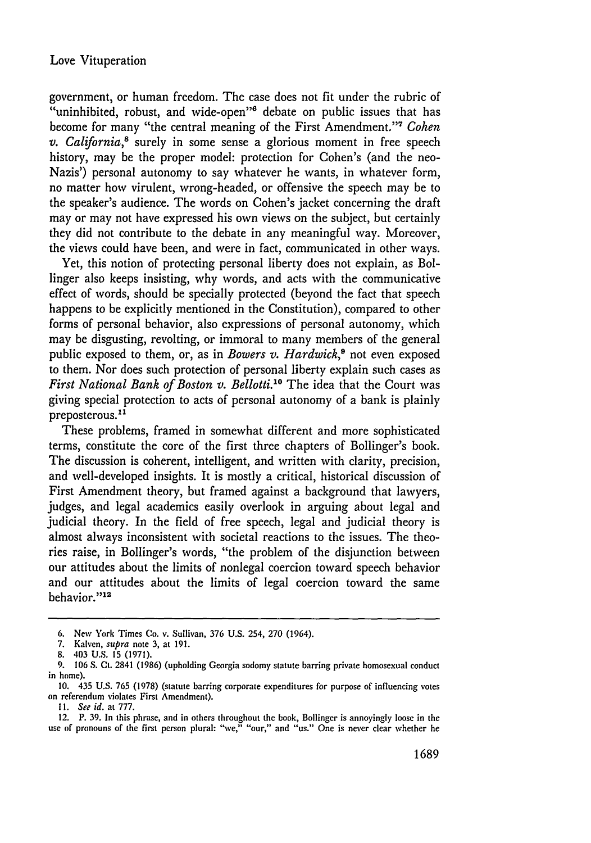government, or human freedom. The case does not fit under the rubric of "uninhibited, robust, and wide-open"<sup>6</sup> debate on public issues that has become for many "the central meaning of the First Amendment." <sup>7</sup>*Cohen v. California,8* surely in some sense a glorious moment in free speech history, may be the proper model: protection for Cohen's (and the neo-Nazis') personal autonomy to say whatever he wants, in whatever form, no matter how virulent, wrong-headed, or offensive the speech may be to the speaker's audience. The words on Cohen's jacket concerning the draft may or may not have expressed his own views on the subject, but certainly they did not contribute to the debate in any meaningful way. Moreover, the views could have been, and were in fact, communicated in other ways.

Yet, this notion of protecting personal liberty does not explain, as Bollinger also keeps insisting, why words, and acts with the communicative effect of words, should be specially protected (beyond the fact that speech happens to be explicitly mentioned in the Constitution), compared to other forms of personal behavior, also expressions of personal autonomy, which may be disgusting, revolting, or immoral to many members of the general public exposed to them, or, as in *Bowers v. Hardwick,9* not even exposed to them. Nor does such protection of personal liberty explain such cases as *First National Bank of Boston v. Bellotti.10* The idea that the Court was giving special protection to acts of personal autonomy of a bank is plainly preposterous."

These problems, framed in somewhat different and more sophisticated terms, constitute the core of the first three chapters of Bollinger's book. The discussion is coherent, intelligent, and written with clarity, precision, and well-developed insights. It is mostly a critical, historical discussion of First Amendment theory, but framed against a background that lawyers, judges, and legal academics easily overlook in arguing about legal and judicial theory. In the field of free speech, legal and judicial theory is almost always inconsistent with societal reactions to the issues. The theories raise, in Bollinger's words, "the problem of the disjunction between our attitudes about the limits of nonlegal coercion toward speech behavior and our attitudes about the limits of legal coercion toward the same behavior."<sup>12</sup>

<sup>6.</sup> New York Times Co. v. Sullivan, 376 U.S. 254, 270 (1964).

<sup>7.</sup> Kalven, *supra* note 3, at 191.

<sup>8. 403</sup> U.S. 15 (1971).

<sup>9. 106</sup> S. **Ct.** 2841 (1986) (upholding Georgia sodomy statute barring private homosexual conduct in home).

*<sup>10.</sup>* 435 **U.S. 765 (1978)** (statute barring corporate expenditures for purpose of influencing votes on referendum violates First Amendment).

*II.* See id. at **777.**

**<sup>12.</sup> P. 39.** In this phrase, and in others throughout the book, Bollinger is annoyingly loose in the use of pronouns of the first person plural: "we," "our," and **"us."** One is never clear whether he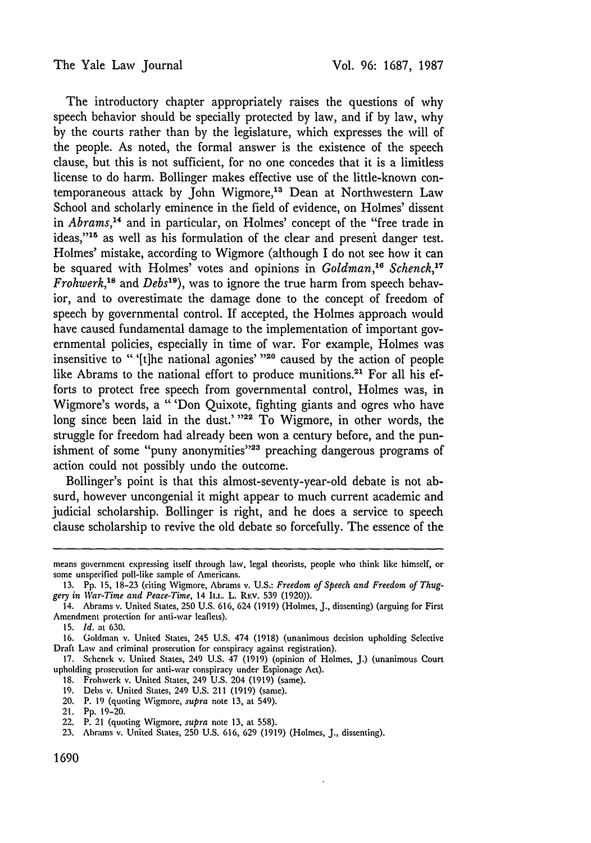The introductory chapter appropriately raises the questions of why speech behavior should be specially protected by law, and if by law, why by the courts rather than by the legislature, which expresses the will of the people. As noted, the formal answer is the existence of the speech clause, but this is not sufficient, for no one concedes that it is a limitless license to do harm. Bollinger makes effective use of the little-known contemporaneous attack by John Wigmore,<sup>13</sup> Dean at Northwestern Law School and scholarly eminence in the field of evidence, on Holmes' dissent in *Abrams*,<sup>14</sup> and in particular, on Holmes' concept of the "free trade in ideas,"<sup>15</sup> as well as his formulation of the clear and present danger test. Holmes' mistake, according to Wigmore (although I do not see how it can be squared with Holmes' votes and opinions in *Goldman,"6 Schenck,17 Frohwerk,'8* and *Debs'9 ),* was to ignore the true harm from speech behavior, and to overestimate the damage done to the concept of freedom of speech by governmental control. If accepted, the Holmes approach would have caused fundamental damage to the implementation of important governmental policies, especially in time of war. For example, Holmes was insensitive to " '[tlhe national agonies' **"20** caused by the action of people like Abrams to the national effort to produce munitions.<sup>21</sup> For all his efforts to protect free speech from governmental control, Holmes was, in Wigmore's words, a "'Don Quixote, fighting giants and ogres who have long since been laid in the dust.' "<sup>22</sup> To Wigmore, in other words, the struggle for freedom had already been won a century before, and the punishment of some "puny anonymities"<sup>23</sup> preaching dangerous programs of action could not possibly undo the outcome.

Bollinger's point is that this almost-seventy-year-old debate is not absurd, however uncongenial it might appear to much current academic and judicial scholarship. Bollinger is right, and he does a service to speech clause scholarship to revive the old debate so forcefully. The essence of the

15. *Id.* at 630.

16. Goldman v. United States, 245 U.S. 474 (1918) (unanimous decision upholding Selective Draft Law and criminal prosecution for conspiracy against registration).

- 18. Frohwerk v. United States, 249 U.S. 204 (1919) (same).
- 19. Debs v. United States, 249 U.S. 211 (1919) (same).
- 20. P. 19 (quoting Wigmore, *supra* note 13, at 549).

means government expressing itself through law, legal theorists, people who think like himself, or some unspecified poll-like sample of Americans.

<sup>13.</sup> Pp. 15, 18-23 (citing Wigmore, Abrams v. U.S.: *Freedom of Speech and Freedom of Thug*gery in War-Time and Peace-Time, 14 I<sub>LL</sub>. L. REV. 539 (1920)).

<sup>14.</sup> Abrams v. United States, 250 U.S. 616, 624 (1919) (Holmes, J., dissenting) (arguing for First Amendment protection for anti-war leaflets).

<sup>17.</sup> Schenck v. United States, 249 U.S. 47 (1919) (opinion of Holmes, J.) (unanimous Court upholding prosecution for anti-war conspiracy under Espionage Act).

<sup>21.</sup> Pp. 19-20.

<sup>22.</sup> P. 21 (quoting Wigmore, *supra* note 13, at 558).

<sup>23.</sup> Abrams v. United States, 250 U.S. 616, 629 (1919) (Holmes, J., dissenting).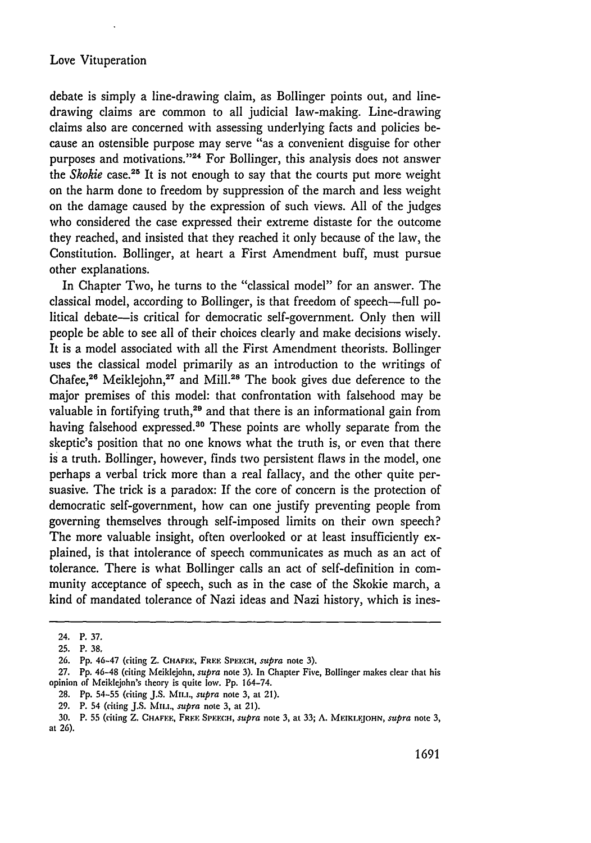#### Love Vituperation

debate is simply a line-drawing claim, as Bollinger points out, and linedrawing claims are common to all judicial law-making. Line-drawing claims also are concerned with assessing underlying facts and policies because an ostensible purpose may serve "as a convenient disguise for other purposes and motivations."<sup>24</sup> For Bollinger, this analysis does not answer the *Skokie* case.25 It is not enough to say that the courts put more weight on the harm done to freedom by suppression of the march and less weight on the damage caused by the expression of such views. All of the judges who considered the case expressed their extreme distaste for the outcome they reached, and insisted that they reached it only because of the law, the Constitution. Bollinger, at heart a First Amendment buff, must pursue other explanations.

In Chapter Two, he turns to the "classical model" for an answer. The classical model, according to Bollinger, is that freedom of speech—full political debate-is critical for democratic self-government. Only then will people be able to see all of their choices clearly and make decisions wisely. It is a model associated with all the First Amendment theorists. Bollinger uses the classical model primarily as an introduction to the writings of Chafee,<sup>26</sup> Meiklejohn,<sup>27</sup> and Mill.<sup>28</sup> The book gives due deference to the major premises of this model: that confrontation with falsehood may be valuable in fortifying truth, $29$  and that there is an informational gain from having falsehood expressed.<sup>30</sup> These points are wholly separate from the skeptic's position that no one knows what the truth is, or even that there is a truth. Bollinger, however, finds two persistent flaws in the model, one perhaps a verbal trick more than a real fallacy, and the other quite persuasive. The trick is a paradox: If the core of concern is the protection of democratic self-government, how can one justify preventing people from governing themselves through self-imposed limits on their own speech? The more valuable insight, often overlooked or at least insufficiently explained, is that intolerance of speech communicates as much as an act of tolerance. There is what Bollinger calls an act of self-definition in community acceptance of speech, such as in the case of the Skokie march, a kind of mandated tolerance of Nazi ideas and Nazi history, which is ines-

<sup>24.</sup> P. **37.**

**<sup>25.</sup>** P. *38.*

**<sup>26.</sup> Pp.** 46-47 (citing **Z. CHAFE.E, FRE.. SI'EFH,** *supra* note **3).**

<sup>27.</sup> Pp. 46-48 (citing Meiklejohn, *supra* note 3). In Chapter Five, Bollinger makes clear that his opinion of Meiklejohn's theory is quite low. Pp. 164-74.

**<sup>28.</sup> Pp. 54-55** (citing **J.S. Mu..,** *supra* note 3, at 21).

**<sup>29.</sup>** P. **54** (citing **J.S. Mu..,** *supra* note 3, at 21).

**<sup>30.</sup>** P. **55** (citing Z. **CHAFF.I., FRIE** Si,.cn, *supra* note 3, at **33; A.** MEIKI.FJOHN, *supra* note 3, at 26).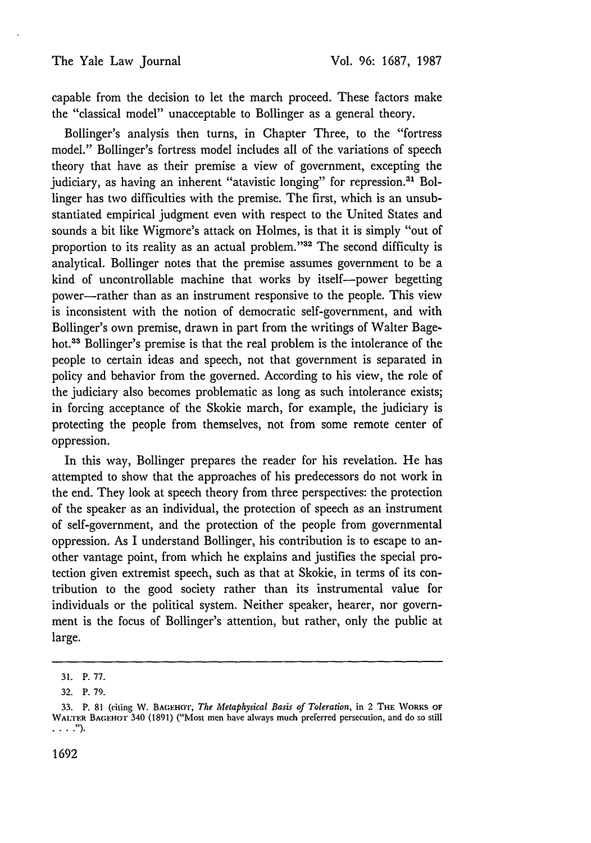capable from the decision to let the march proceed. These factors make the "classical model" unacceptable to Bollinger as a general theory.

Bollinger's analysis then turns, in Chapter Three, to the "fortress model." Bollinger's fortress model includes all of the variations of speech theory that have as their premise a view of government, excepting the judiciary, as having an inherent "atavistic longing" for repression.<sup>31</sup> Bollinger has two difficulties with the premise. The first, which is an unsubstantiated empirical judgment even with respect to the United States and sounds a bit like Wigmore's attack on Holmes, is that it is simply "out of proportion to its reality as an actual problem."32 The second difficulty is analytical. Bollinger notes that the premise assumes government to be a kind of uncontrollable machine that works by itself-power begetting power-rather than as an instrument responsive to the people. This view is inconsistent with the notion of democratic self-government, and with Bollinger's own premise, drawn in part from the writings of Walter Bagehot.33 Bollinger's premise is that the real problem is the intolerance of the people to certain ideas and speech, not that government is separated in policy and behavior from the governed. According to his view, the role of the judiciary also becomes problematic as long as such intolerance exists; in forcing acceptance of the Skokie march, for example, the judiciary is protecting the people from themselves, not from some remote center of oppression.

In this way, Bollinger prepares the reader for his revelation. He has attempted to show that the approaches of his predecessors do not work in the end. They look at speech theory from three perspectives: the protection of the speaker as an individual, the protection of speech as an instrument of self-government, and the protection of the people from governmental oppression. As I understand Bollinger, his contribution is to escape to another vantage point, from which he explains and justifies the special protection given extremist speech, such as that at Skokie, in terms of its contribution to the good society rather than its instrumental value for individuals or the political system. Neither speaker, hearer, nor government is the focus of Bollinger's attention, but rather, only the public at large.

<sup>31.</sup> P. 77.

<sup>32.</sup> P. 79.

<sup>33.</sup> P. 81 (citing W. BAEHo'r, *The Metaphysical Basis of Toleration,* in 2 **THE** WORKS **OF** WAI.TER BAGEHOT 340 (1891) ("Most men have always much preferred persecution, and do so still **. 1)..**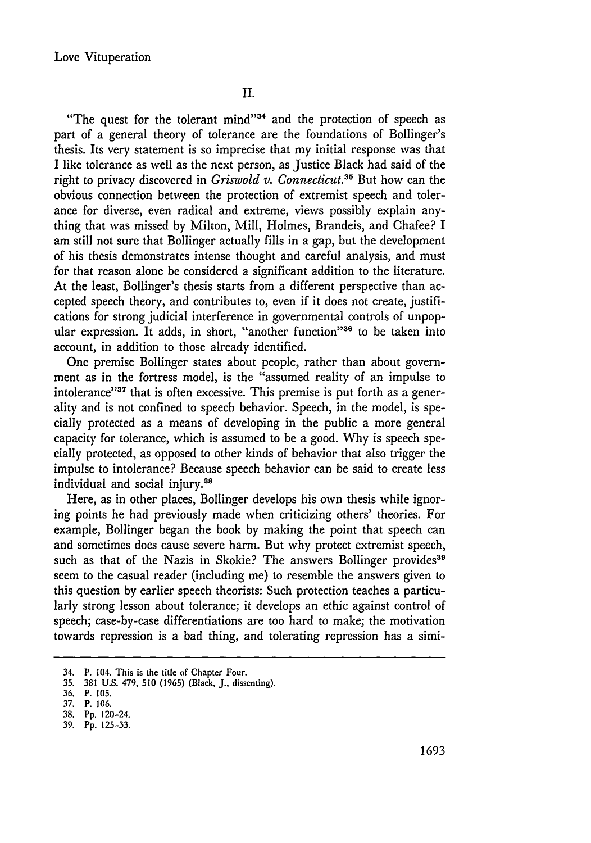"The quest for the tolerant mind" $34$  and the protection of speech as part of a general theory of tolerance are the foundations of Bollinger's thesis. Its very statement is so imprecise that my initial response was that I like tolerance as well as the next person, as Justice Black had said of the right to privacy discovered in *Griswold v. Connecticut."5* But how can the obvious connection between the protection of extremist speech and tolerance for diverse, even radical and extreme, views possibly explain anything that was missed by Milton, Mill, Holmes, Brandeis, and Chafee? I am still not sure that Bollinger actually fills in a gap, but the development of his thesis demonstrates intense thought and careful analysis, and must for that reason alone be considered a significant addition to the literature. At the least, Bollinger's thesis starts from a different perspective than accepted speech theory, and contributes to, even if it does not create, justifications for strong judicial interference in governmental controls of unpopular expression. It adds, in short, "another function"<sup>36</sup> to be taken into account, in addition to those already identified.

One premise Bollinger states about people, rather than about government as in the fortress model, is the "assumed reality of an impulse to intolerance"<sup>37</sup> that is often excessive. This premise is put forth as a generality and is not confined to speech behavior. Speech, in the model, is specially protected as a means of developing in the public a more general capacity for tolerance, which is assumed to be a good. Why is speech specially protected, as opposed to other kinds of behavior that also trigger the impulse to intolerance? Because speech behavior can be said to create less individual and social injury.38

Here, as in other places, Bollinger develops his own thesis while ignoring points he had previously made when criticizing others' theories. For example, Bollinger began the book by making the point that speech can and sometimes does cause severe harm. But why protect extremist speech, such as that of the Nazis in Skokie? The answers Bollinger provides<sup>39</sup> seem to the casual reader (including me) to resemble the answers given to this question by earlier speech theorists: Such protection teaches a particularly strong lesson about tolerance; it develops an ethic against control of speech; case-by-case differentiations are too hard to make; the motivation towards repression is a bad thing, and tolerating repression has a simi-

<sup>34.</sup> P. 104. This is the title of Chapter Four.

<sup>35. 381</sup> U.S. 479, **510 (1965)** (Black, J., dissenting).

**<sup>36.</sup>** P. **105.**

**<sup>37.</sup>** P. **106.**

**<sup>38.</sup> Pp.** 120-24.

**<sup>39.</sup> Pp. 125-33.**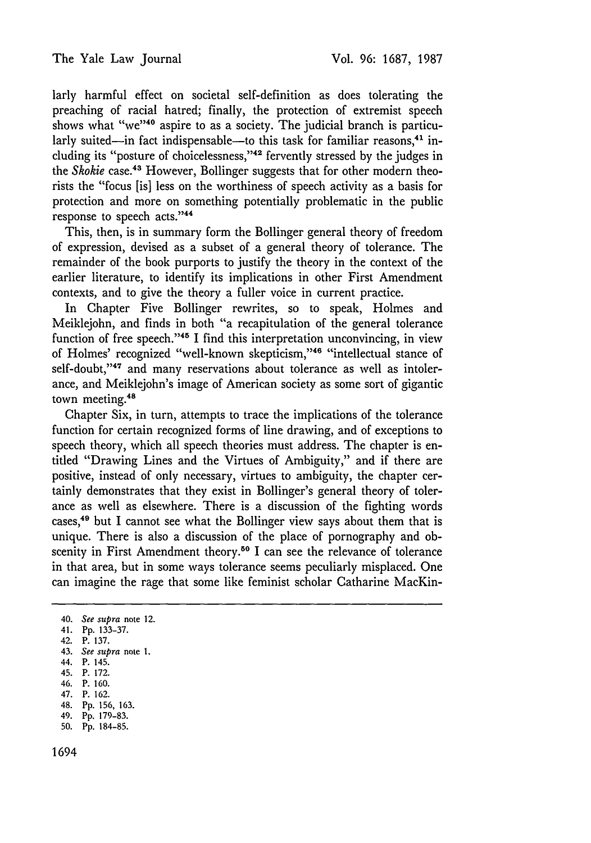larly harmful effect on societal self-definition as does tolerating the preaching of racial hatred; finally, the protection of extremist speech shows what "we"<sup>40</sup> aspire to as a society. The judicial branch is particularly suited-in fact indispensable-to this task for familiar reasons,<sup>41</sup> including its "posture of choicelessness,"<sup>42</sup> fervently stressed by the judges in the *Skokie* case.<sup>43</sup> However, Bollinger suggests that for other modern theorists the "focus [is] less on the worthiness of speech activity as a basis for protection and more on something potentially problematic in the public response to speech acts."<sup>44</sup>

This, then, is in summary form the Bollinger general theory of freedom of expression, devised as a subset of a general theory of tolerance. The remainder of the book purports to justify the theory in the context of the earlier literature, to identify its implications in other First Amendment contexts, and to give the theory a fuller voice in current practice.

In Chapter Five Bollinger rewrites, so to speak, Holmes and Meiklejohn, and finds in both "a recapitulation of the general tolerance function of free speech."'45 I find this interpretation unconvincing, in view of Holmes' recognized "well-known skepticism,"<sup>46</sup> "intellectual stance of self-doubt,"<sup>47</sup> and many reservations about tolerance as well as intolerance, and Meiklejohn's image of American society as some sort of gigantic town meeting.<sup>48</sup>

Chapter Six, in turn, attempts to trace the implications of the tolerance function for certain recognized forms of line drawing, and of exceptions to speech theory, which all speech theories must address. The chapter is entitled "Drawing Lines and the Virtues of Ambiguity," and if there are positive, instead of only necessary, virtues to ambiguity, the chapter certainly demonstrates that they exist in Bollinger's general theory of tolerance as well as elsewhere. There is a discussion of the fighting words cases,49 but I cannot see what the Bollinger view says about them that is unique. There is also a discussion of the place of pornography and obscenity in First Amendment theory.<sup>50</sup> I can see the relevance of tolerance in that area, but in some ways tolerance seems peculiarly misplaced. One can imagine the rage that some like feminist scholar Catharine MacKin-

49. Pp. 179-83.

<sup>40.</sup> *See supra* note 12.

<sup>41.</sup> Pp. 133-37.

<sup>42.</sup> P. 137.

<sup>43.</sup> *See supra* note 1.

<sup>44.</sup> P. 145.

<sup>45.</sup> P. 172.

<sup>46.</sup> P. 160. 47. P. 162.

<sup>48.</sup> Pp. 156, 163.

<sup>50.</sup> Pp. 184-85.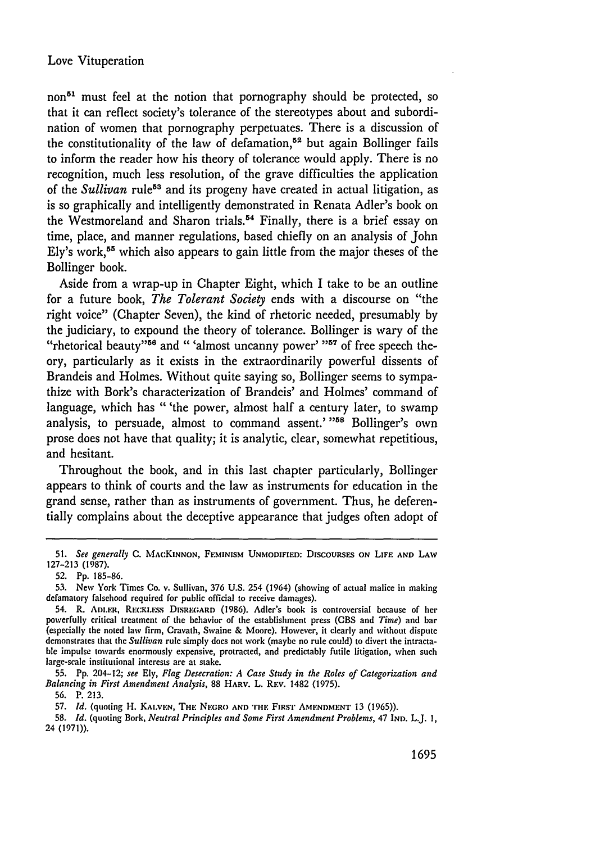non<sup>51</sup> must feel at the notion that pornography should be protected, so that it can reflect society's tolerance of the stereotypes about and subordination of women that pornography perpetuates. There is a discussion of the constitutionality of the law of defamation.<sup>52</sup> but again Bollinger fails to inform the reader how his theory of tolerance would apply. There is no recognition, much less resolution, of the grave difficulties the application of the *Sullivan* rule<sup>53</sup> and its progeny have created in actual litigation, as is so graphically and intelligently demonstrated in Renata Adler's book on the Westmoreland and Sharon trials.<sup>54</sup> Finally, there is a brief essay on time, place, and manner regulations, based chiefly on an analysis of John Ely's work,<sup>55</sup> which also appears to gain little from the major theses of the Bollinger book.

Aside from a wrap-up in Chapter Eight, which I take to be an outline for a future book, The *Tolerant Society* ends with a discourse on "the right voice" (Chapter Seven), the kind of rhetoric needed, presumably by the judiciary, to expound the theory of tolerance. Bollinger is wary of the "rhetorical beauty"<sup>56</sup> and "'almost uncanny power' "<sup>57</sup> of free speech theory, particularly as it exists in the extraordinarily powerful dissents of Brandeis and Holmes. Without quite saying so, Bollinger seems to sympathize with Bork's characterization of Brandeis' and Holmes' command of language, which has "'the power, almost half a century later, to swamp analysis, to persuade, almost to command assent.' **"58** Bollinger's own prose does not have that quality; it is analytic, clear, somewhat repetitious, and hesitant.

Throughout the book, and in this last chapter particularly, Bollinger appears to think of courts and the law as instruments for education in the grand sense, rather than as instruments of government. Thus, he deferentially complains about the deceptive appearance that judges often adopt of

55. **Pp.** 204-12; *see* **Ely,** *Flag Desecration: A Case Study in the Roles of Categorization and Balancing in First Amendment Analysis,* 88 **HARV.** L. REv. 1482 (1975).

56. P. 213.

**58.** *Id.* (quoting Bork, *Neutral Principles and Some First Amendment Problems,* 47 **IND.** L.J. 1, 24 (1971)).

**<sup>51.</sup>** *See generally* C. **MACKINNON,** FEMINISM **UNMODIFIED: DISCOURSES ON LIFE AND** LAW 127-213 (1987).

<sup>52.</sup> **Pp.** 185-86.

<sup>53.</sup> *New* York Times Co. v. Sullivan, 376 U.S. 254 (1964) (showing of actual malice in making defamatory falsehood required for public official to receive damages).

<sup>54.</sup> R. **Am.ER,** RECK. ss **DISRI;ARD (1986).** Adler's book is controversial because of her powerfully critical treatment of the behavior of the establishment press **(CBS** and *Time)* and bar (especially the noted law firm, Cravath, Swaine **&** Moore). However, it clearly and without dispute demonstrates that the *Sullivan* rule simply does not work (maybe no rule could) to divert the intractable impulse towards enormously expensive, protracted, and predictably futile litigation, when such large-scale institutional interests are at stake.

<sup>57.</sup> *Id.* (quoting H. **KAI.VEN, THE** NEGRo **AND THE FIRsr** AMENDMENT **13** (1965)).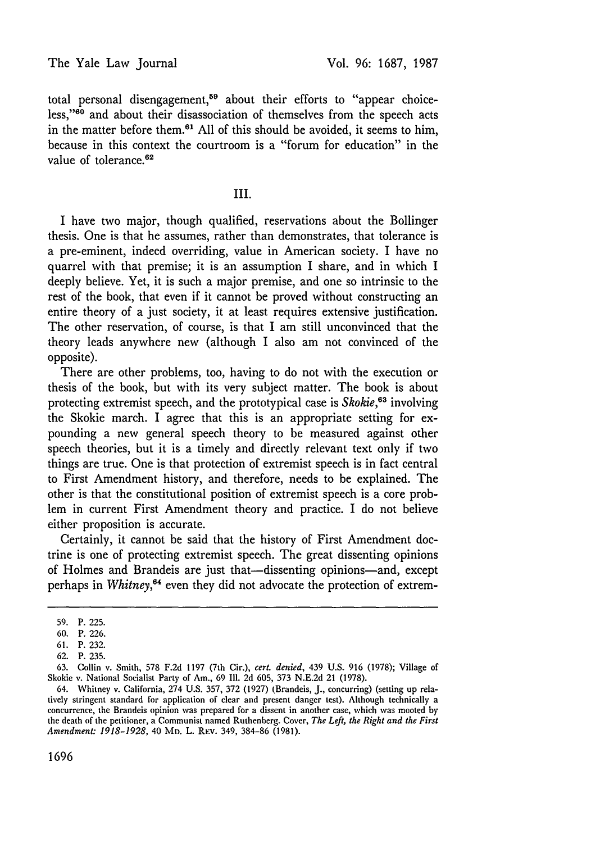total personal disengagement,<sup>59</sup> about their efforts to "appear choiceless,"60 and about their disassociation of themselves from the speech acts in the matter before them.<sup>61</sup> All of this should be avoided, it seems to him, because in this context the courtroom is a "forum for education" in the value of tolerance.<sup>62</sup>

### III.

I have two major, though qualified, reservations about the Bollinger thesis. One is that he assumes, rather than demonstrates, that tolerance is a pre-eminent, indeed overriding, value in American society. I have no quarrel with that premise; it is an assumption I share, and in which I deeply believe. Yet, it is such a major premise, and one so intrinsic to the rest of the book, that even if it cannot be proved without constructing an entire theory of a just society, it at least requires extensive justification. The other reservation, of course, is that I am still unconvinced that the theory leads anywhere new (although I also am not convinced of the opposite).

There are other problems, too, having to do not with the execution or thesis of the book, but with its very subject matter. The book is about protecting extremist speech, and the prototypical case is *Skokie,6 <sup>3</sup>*involving the Skokie march. I agree that this is an appropriate setting for expounding a new general speech theory to be measured against other speech theories, but it is a timely and directly relevant text only if two things are true. One is that protection of extremist speech is in fact central to First Amendment history, and therefore, needs to be explained. The other is that the constitutional position of extremist speech is a core problem in current First Amendment theory and practice. I do not believe either proposition is accurate.

Certainly, it cannot be said that the history of First Amendment doctrine is one of protecting extremist speech. The great dissenting opinions of Holmes and Brandeis are just that—dissenting opinions—and, except perhaps in *Whitney,64* even they did not advocate the protection of extrem-

<sup>59.</sup> P. 225.

<sup>60.</sup> P. 226.

<sup>61.</sup> P. 232.

<sup>62.</sup> P. 235.

<sup>63.</sup> Collin v. Smith, 578 F.2d 1197 (7th Cir.), *cert. denied,* 439 U.S. 916 (1978); Village of Skokie v. National Socialist Party of Am., 69 Ill. 2d 605, 373 N.E.2d 21 (1978).

<sup>64.</sup> Whitney v. California, 274 U.S. 357, 372 (1927) (Brandeis, J., concurring) (setting up relatively stringent standard for application of clear and present danger test). Although technically a concurrence, the Brandeis opinion was prepared for a dissent in another case, which was mooted by the death of the petitioner, a Communist named Ruthenberg. Cover, *The Left, the Right and the First Amendment: 1918-1928,* 40 Mn. L. RF:v. 349, 384-86 (1981).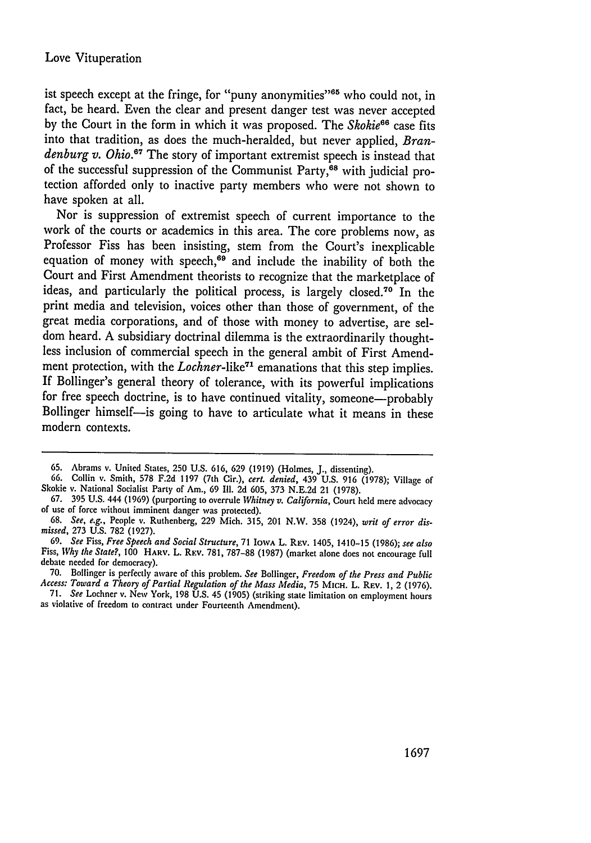ist speech except at the fringe, for "puny anonymities"<sup>65</sup> who could not, in fact, be heard. Even the clear and present danger test was never accepted by the Court in the form in which it was proposed. The *Skokie66* case fits into that tradition, as does the much-heralded, but never applied, *Brandenburg v. Ohio.*<sup>67</sup> The story of important extremist speech is instead that of the successful suppression of the Communist Party, $^{68}$  with judicial protection afforded only to inactive party members who were not shown to have spoken at all.

Nor is suppression of extremist speech of current importance to the work of the courts or academics in this area. The core problems now, as Professor Fiss has been insisting, stem from the Court's inexplicable equation of money with speech, $69$  and include the inability of both the Court and First Amendment theorists to recognize that the marketplace of ideas, and particularly the political process, is largely closed.<sup>70</sup> In the print media and television, voices other than those of government, of the great media corporations, and of those with money to advertise, are seldom heard. A subsidiary doctrinal dilemma is the extraordinarily thoughtless inclusion of commercial speech in the general ambit of First Amendment protection, with the *Lochner*-like<sup>71</sup> emanations that this step implies. If Bollinger's general theory of tolerance, with its powerful implications for free speech doctrine, is to have continued vitality, someone—probably Bollinger himself-is going to have to articulate what it means in these modern contexts.

<sup>65.</sup> Abrams v. United States, **250** U.S. 616, 629 (1919) (Holmes, J., dissenting).

<sup>66.</sup> Collin v. Smith, 578 F.2d 1197 (7th Cir.), *cert. denied,* 439 U.S. 916 (1978); Village of Skokie v. National Socialist Party of Am., 69 Ill. 2d 605, 373 N.E.2d 21 (1978).

<sup>67. 395</sup> U.S. 444 (1969) (purporting to overrule *Whitney v. California,* Court held mere advocacy of use of force without imminent danger was protected).

<sup>68.</sup> *See, e.g.,* People v. Ruthenberg, 229 Mich. 315, 201 N.W. 358 (1924), *writ of error dismissed,* 273 U.S. 782 (1927).

<sup>69.</sup> *See* Fiss, *Free Speech and Social Structure,* 71 IOWA L. REv. 1405, 1410-15 (1986); *see also* Fiss, *Why the State?, 100* **HARV.** L. REV. 781, 787-88 (1987) (market alone does not encourage full debate needed for democracy).

<sup>70.</sup> Bollinger is perfectly aware of this problem. See Bollinger, Freedom of the Press and Public Access: Toward a Theory of Partial Regulation of the Mass Media, 75 MICH. L. REV. 1, 2 (1976).<br>71. See Lochner v. New York, 1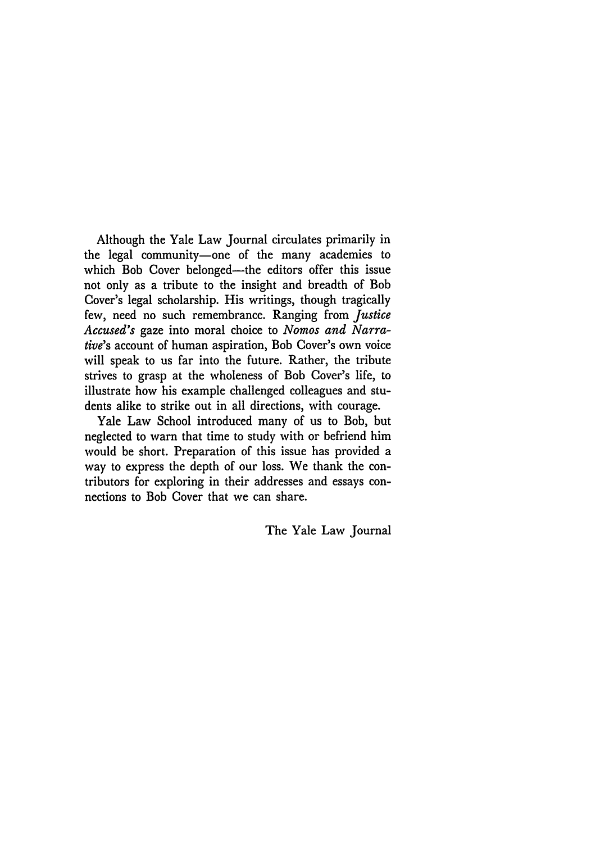Although the Yale Law Journal circulates primarily in the legal community-one of the many academies to which Bob Cover belonged—the editors offer this issue not only as a tribute to the insight and breadth of Bob Cover's legal scholarship. His writings, though tragically few, need no such remembrance. Ranging from *Justice Accused's* gaze into moral choice to *Nomos and Narrative's* account of human aspiration, Bob Cover's own voice will speak to us far into the future. Rather, the tribute strives to grasp at the wholeness of Bob Cover's life, to illustrate how his example challenged colleagues and students alike to strike out in all directions, with courage.

Yale Law School introduced many of us to Bob, but neglected to warn that time to study with or befriend him would be short. Preparation of this issue has provided a way to express the depth of our loss. We thank the contributors for exploring in their addresses and essays connections to Bob Cover that we can share.

The Yale Law Journal